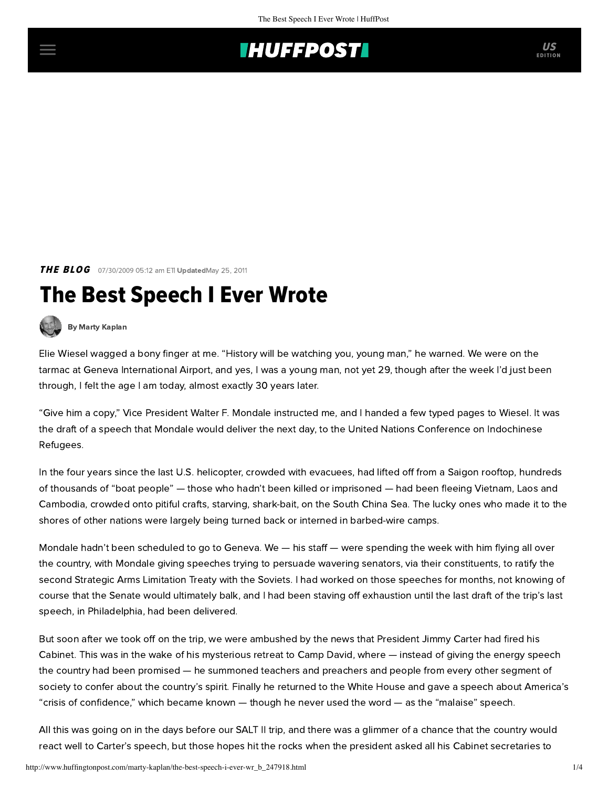# **INUFFPOSTI** US

**THE BLOG** 07/30/2009 05:12 am ETI UpdatedMay 25, 2011

# The Best Speech I Ever Wrote



[By Marty Kaplan](http://www.huffingtonpost.com/author/marty-kaplan)

Elie Wiesel wagged a bony finger at me. "History will be watching you, young man," he warned. We were on the tarmac at Geneva International Airport, and yes, I was a young man, not yet 29, though after the week I'd just been through, I felt the age I am today, almost exactly 30 years later.

"Give him a copy," Vice President Walter F. Mondale instructed me, and I handed a few typed pages to Wiesel. It was the draft of a speech that Mondale would deliver the next day, to the United Nations Conference on Indochinese Refugees.

In the four years since the last U.S. helicopter, crowded with evacuees, had lifted off from a Saigon rooftop, hundreds of thousands of "boat people" — those who hadn't been killed or imprisoned — had been fleeing Vietnam, Laos and Cambodia, crowded onto pitiful crafts, starving, shark-bait, on the South China Sea. The lucky ones who made it to the shores of other nations were largely being turned back or interned in barbed-wire camps.

Mondale hadn't been scheduled to go to Geneva. We — his staff — were spending the week with him flying all over the country, with Mondale giving speeches trying to persuade wavering senators, via their constituents, to ratify the second Strategic Arms Limitation Treaty with the Soviets. I had worked on those speeches for months, not knowing of course that the Senate would ultimately balk, and I had been staving off exhaustion until the last draft of the trip's last speech, in Philadelphia, had been delivered.

But soon after we took off on the trip, we were ambushed by the news that President Jimmy Carter had fired his Cabinet. This was in the wake of his mysterious retreat to Camp David, where — instead of giving the energy speech the country had been promised — he summoned teachers and preachers and people from every other segment of society to confer about the country's spirit. Finally he returned to the White House and gave a speech about America's "crisis of confidence," which became known — though he never used the word — as the "malaise" speech.

All this was going on in the days before our SALT II trip, and there was a glimmer of a chance that the country would react well to Carter's speech, but those hopes hit the rocks when the president asked all his Cabinet secretaries to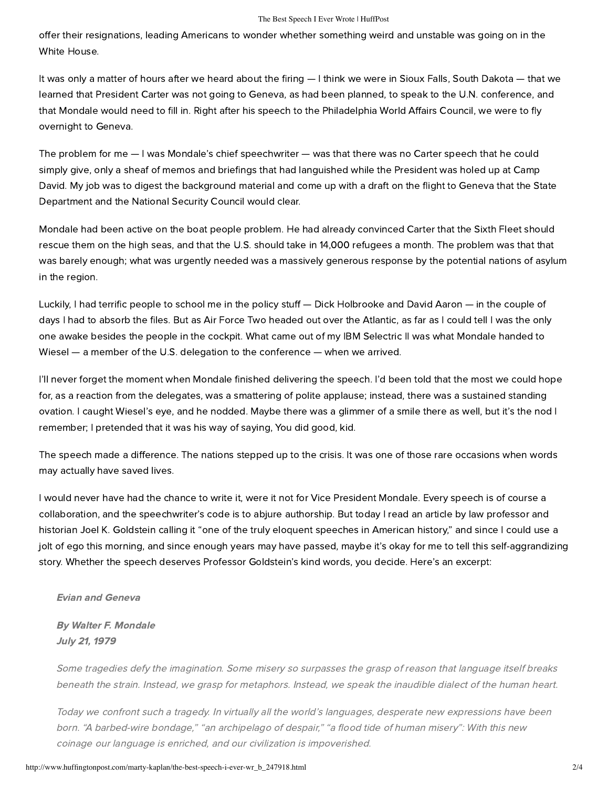#### The Best Speech I Ever Wrote | HuffPost

offer their resignations, leading Americans to wonder whether something weird and unstable was going on in the White House.

It was only a matter of hours after we heard about the firing — I think we were in Sioux Falls, South Dakota — that we learned that President Carter was not going to Geneva, as had been planned, to speak to the U.N. conference, and that Mondale would need to fill in. Right after his speech to the Philadelphia World Affairs Council, we were to fly overnight to Geneva.

The problem for me — I was Mondale's chief speechwriter — was that there was no Carter speech that he could simply give, only a sheaf of memos and briefings that had languished while the President was holed up at Camp David. My job was to digest the background material and come up with a draft on the flight to Geneva that the State Department and the National Security Council would clear.

Mondale had been active on the boat people problem. He had already convinced Carter that the Sixth Fleet should rescue them on the high seas, and that the U.S. should take in 14,000 refugees a month. The problem was that that was barely enough; what was urgently needed was a massively generous response by the potential nations of asylum in the region.

Luckily, I had terrific people to school me in the policy stuff — Dick Holbrooke and David Aaron — in the couple of days I had to absorb the files. But as Air Force Two headed out over the Atlantic, as far as I could tell I was the only one awake besides the people in the cockpit. What came out of my IBM Selectric II was what Mondale handed to Wiesel — a member of the U.S. delegation to the conference — when we arrived.

I'll never forget the moment when Mondale finished delivering the speech. I'd been told that the most we could hope for, as a reaction from the delegates, was a smattering of polite applause; instead, there was a sustained standing ovation. I caught Wiesel's eye, and he nodded. Maybe there was a glimmer of a smile there as well, but it's the nod I remember; I pretended that it was his way of saying, You did good, kid.

The speech made a difference. The nations stepped up to the crisis. It was one of those rare occasions when words may actually have saved lives.

I would never have had the chance to write it, were it not for Vice President Mondale. Every speech is of course a collaboration, and the speechwriter's code is to abjure authorship. But today I read an [article](http://www.minnpost.com/community_voices/2009/07/30/10568/a_model_for_idealistic_international_action_mondales_leadership_on_refugee_crisis_30_years_ago) by law professor and historian Joel K. Goldstein calling it "one of the truly eloquent speeches in American history," and since I could use a jolt of ego this morning, and since enough years may have passed, maybe it's okay for me to tell this self-aggrandizing story. Whether the speech deserves Professor Goldstein's kind words, you decide. Here's an excerpt:

## Evian and Geneva

By Walter F. Mondale July 21, 1979

Some tragedies defy the imagination. Some misery so surpasses the grasp of reason that language itself breaks beneath the strain. Instead, we grasp for metaphors. Instead, we speak the inaudible dialect of the human heart.

Today we confront such a tragedy. In virtually all the world's languages, desperate new expressions have been born. "A barbed-wire bondage," "an archipelago of despair," "a flood tide of human misery": With this new coinage our language is enriched, and our civilization is impoverished.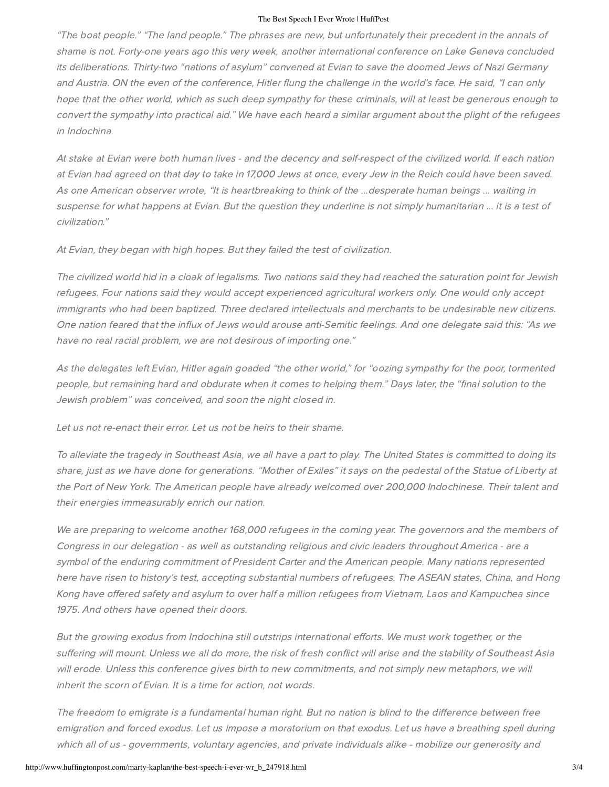#### The Best Speech I Ever Wrote | HuffPost

"The boat people." "The land people." The phrases are new, but unfortunately their precedent in the annals of shame is not. Forty-one years ago this very week, another international conference on Lake Geneva concluded its deliberations. Thirty-two "nations of asylum" convened at Evian to save the doomed Jews of Nazi Germany and Austria. ON the even of the conference, Hitler flung the challenge in the world's face. He said, "I can only hope that the other world, which as such deep sympathy for these criminals, will at least be generous enough to convert the sympathy into practical aid." We have each heard a similar argument about the plight of the refugees in Indochina.

At stake at Evian were both human lives - and the decency and self-respect of the civilized world. If each nation at Evian had agreed on that day to take in 17,000 Jews at once, every Jew in the Reich could have been saved. As one American observer wrote, "It is heartbreaking to think of the ...desperate human beings ... waiting in suspense for what happens at Evian. But the question they underline is not simply humanitarian ... it is a test of civilization."

At Evian, they began with high hopes. But they failed the test of civilization.

The civilized world hid in a cloak of legalisms. Two nations said they had reached the saturation point for Jewish refugees. Four nations said they would accept experienced agricultural workers only. One would only accept immigrants who had been baptized. Three declared intellectuals and merchants to be undesirable new citizens. One nation feared that the influx of Jews would arouse anti-Semitic feelings. And one delegate said this: "As we have no real racial problem, we are not desirous of importing one."

As the delegates left Evian, Hitler again goaded "the other world," for "oozing sympathy for the poor, tormented people, but remaining hard and obdurate when it comes to helping them." Days later, the "final solution to the Jewish problem" was conceived, and soon the night closed in.

Let us not re-enact their error. Let us not be heirs to their shame.

To alleviate the tragedy in Southeast Asia, we all have a part to play. The United States is committed to doing its share, just as we have done for generations. "Mother of Exiles" it says on the pedestal of the Statue of Liberty at the Port of New York. The American people have already welcomed over 200,000 Indochinese. Their talent and their energies immeasurably enrich our nation.

We are preparing to welcome another 168,000 refugees in the coming year. The governors and the members of Congress in our delegation - as well as outstanding religious and civic leaders throughout America - are a symbol of the enduring commitment of President Carter and the American people. Many nations represented here have risen to history's test, accepting substantial numbers of refugees. The ASEAN states, China, and Hong Kong have offered safety and asylum to over half a million refugees from Vietnam, Laos and Kampuchea since 1975. And others have opened their doors.

But the growing exodus from Indochina still outstrips international efforts. We must work together, or the suffering will mount. Unless we all do more, the risk of fresh conflict will arise and the stability of Southeast Asia will erode. Unless this conference gives birth to new commitments, and not simply new metaphors, we will inherit the scorn of Evian. It is a time for action, not words.

The freedom to emigrate is a fundamental human right. But no nation is blind to the difference between free emigration and forced exodus. Let us impose a moratorium on that exodus. Let us have a breathing spell during which all of us - governments, voluntary agencies, and private individuals alike - mobilize our generosity and